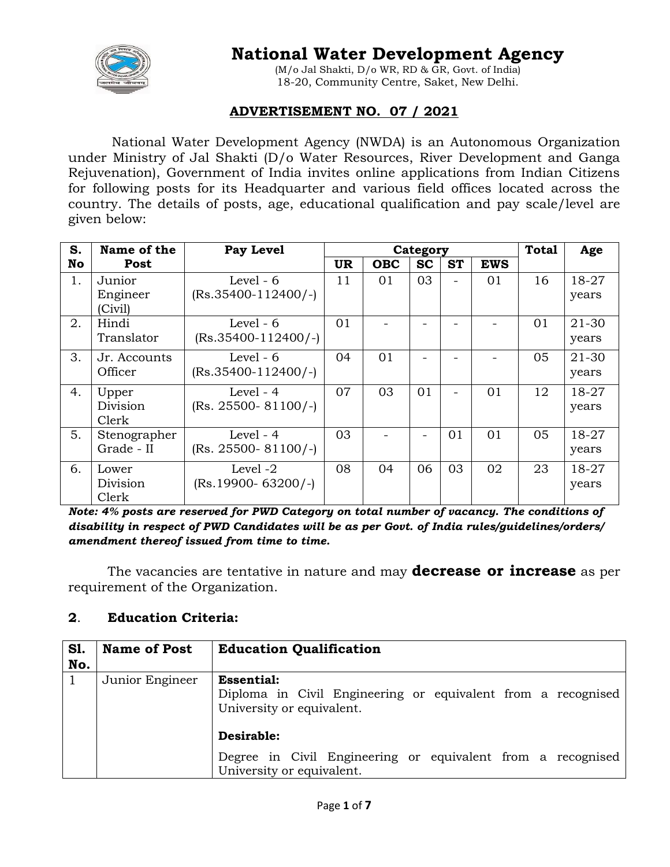

# **National Water Development Agency**

(M/o Jal Shakti, D/o WR, RD & GR, Govt. of India) 18-20, Community Centre, Saket, New Delhi.

## **ADVERTISEMENT NO. 07 / 2021**

National Water Development Agency (NWDA) is an Autonomous Organization under Ministry of Jal Shakti (D/o Water Resources, River Development and Ganga Rejuvenation), Government of India invites online applications from Indian Citizens for following posts for its Headquarter and various field offices located across the country. The details of posts, age, educational qualification and pay scale/level are given below:

| S. | Name of the                   | <b>Pay Level</b>                       | Category |            |           | <b>Total</b> | Age        |    |                |
|----|-------------------------------|----------------------------------------|----------|------------|-----------|--------------|------------|----|----------------|
| No | Post                          |                                        | UR.      | <b>OBC</b> | <b>SC</b> | <b>ST</b>    | <b>EWS</b> |    |                |
| 1. | Junior<br>Engineer<br>(Civil) | Level - $6$<br>$(Rs.35400-112400/-)$   | 11       | 01         | 03        |              | 01         | 16 | 18-27<br>years |
| 2. | Hindi<br>Translator           | Level $-6$<br>$(Rs.35400-112400/-)$    | 01       |            |           |              |            | 01 | 21-30<br>years |
| 3. | Jr. Accounts<br>Officer       | Level - $6$<br>$(Rs.35400-112400/-)$   | 04       | 01         |           |              |            | 05 | 21-30<br>years |
| 4. | Upper<br>Division<br>Clerk    | Level - $4$<br>$(Rs. 25500 - 81100/-)$ | 07       | 03         | 01        |              | 01         | 12 | 18-27<br>years |
| 5. | Stenographer<br>Grade - II    | Level - $4$<br>$(Rs. 25500 - 81100/-)$ | 03       |            |           | 01           | 01         | 05 | 18-27<br>years |
| 6. | Lower<br>Division<br>Clerk    | Level -2<br>$(Rs.19900 - 63200/-)$     | 08       | 04         | 06        | 03           | 02         | 23 | 18-27<br>years |

*Note: 4% posts are reserved for PWD Category on total number of vacancy. The conditions of disability in respect of PWD Candidates will be as per Govt. of India rules/guidelines/orders/ amendment thereof issued from time to time.*

The vacancies are tentative in nature and may **decrease or increase** as per requirement of the Organization.

## **2**. **Education Criteria:**

| <b>S1.</b><br>No. | <b>Name of Post</b> | <b>Education Qualification</b>                                                                                 |
|-------------------|---------------------|----------------------------------------------------------------------------------------------------------------|
|                   | Junior Engineer     | <b>Essential:</b><br>Diploma in Civil Engineering or equivalent from a recognised<br>University or equivalent. |
|                   |                     | Desirable:<br>Degree in Civil Engineering or equivalent from a recognised<br>University or equivalent.         |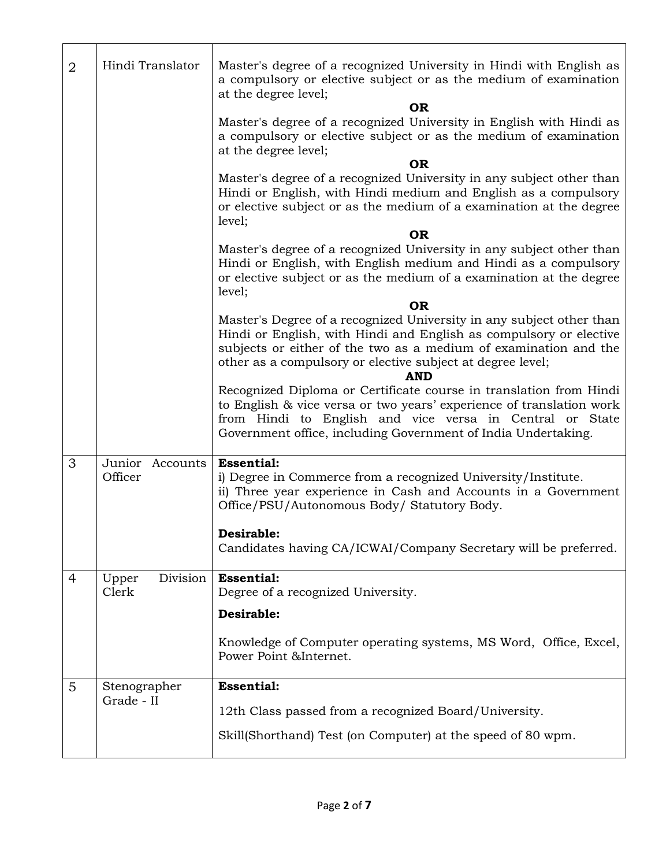| $\overline{2}$ | Hindi Translator           | Master's degree of a recognized University in Hindi with English as<br>a compulsory or elective subject or as the medium of examination<br>at the degree level;                                                                                                                            |
|----------------|----------------------------|--------------------------------------------------------------------------------------------------------------------------------------------------------------------------------------------------------------------------------------------------------------------------------------------|
|                |                            | <b>OR</b><br>Master's degree of a recognized University in English with Hindi as<br>a compulsory or elective subject or as the medium of examination<br>at the degree level;                                                                                                               |
|                |                            | <b>OR</b><br>Master's degree of a recognized University in any subject other than<br>Hindi or English, with Hindi medium and English as a compulsory<br>or elective subject or as the medium of a examination at the degree<br>level;                                                      |
|                |                            | <b>OR</b>                                                                                                                                                                                                                                                                                  |
|                |                            | Master's degree of a recognized University in any subject other than<br>Hindi or English, with English medium and Hindi as a compulsory<br>or elective subject or as the medium of a examination at the degree<br>level;                                                                   |
|                |                            | 0R                                                                                                                                                                                                                                                                                         |
|                |                            | Master's Degree of a recognized University in any subject other than<br>Hindi or English, with Hindi and English as compulsory or elective<br>subjects or either of the two as a medium of examination and the<br>other as a compulsory or elective subject at degree level;<br><b>AND</b> |
|                |                            | Recognized Diploma or Certificate course in translation from Hindi                                                                                                                                                                                                                         |
|                |                            | to English & vice versa or two years' experience of translation work<br>from Hindi to English and vice versa in Central or State<br>Government office, including Government of India Undertaking.                                                                                          |
| 3              | Junior Accounts            | <b>Essential:</b>                                                                                                                                                                                                                                                                          |
|                | Officer                    | i) Degree in Commerce from a recognized University/Institute.<br>ii) Three year experience in Cash and Accounts in a Government<br>Office/PSU/Autonomous Body/ Statutory Body.                                                                                                             |
|                |                            | Desirable:                                                                                                                                                                                                                                                                                 |
|                |                            | Candidates having CA/ICWAI/Company Secretary will be preferred.                                                                                                                                                                                                                            |
| 4              | Division<br>Upper<br>Clerk | <b>Essential:</b><br>Degree of a recognized University.                                                                                                                                                                                                                                    |
|                |                            | Desirable:                                                                                                                                                                                                                                                                                 |
|                |                            | Knowledge of Computer operating systems, MS Word, Office, Excel,<br>Power Point &Internet.                                                                                                                                                                                                 |
| 5              | Stenographer               | <b>Essential:</b>                                                                                                                                                                                                                                                                          |
|                | Grade - II                 | 12th Class passed from a recognized Board/University.                                                                                                                                                                                                                                      |
|                |                            |                                                                                                                                                                                                                                                                                            |
|                |                            | Skill(Shorthand) Test (on Computer) at the speed of 80 wpm.                                                                                                                                                                                                                                |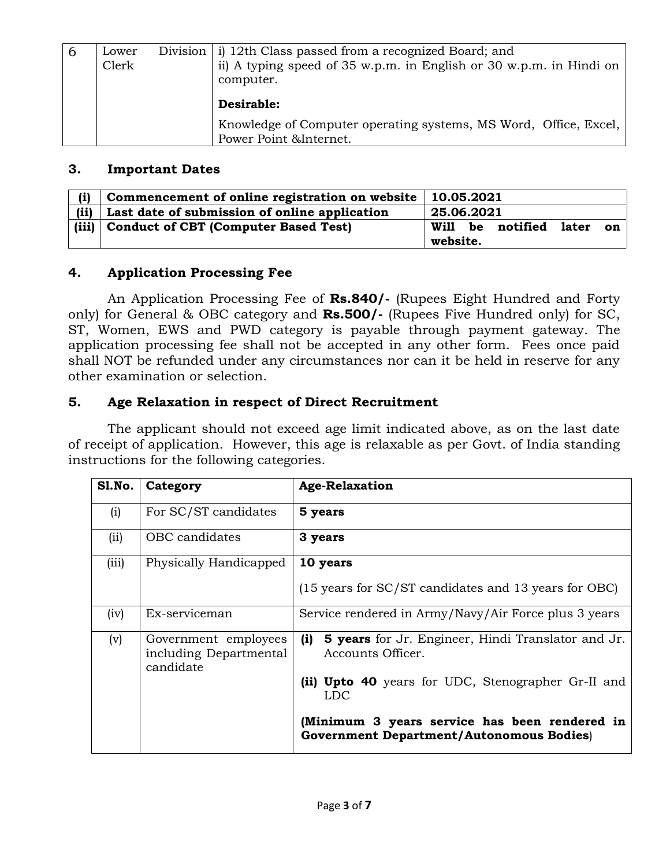| -6 | Lower<br>Clerk | Division   i) 12th Class passed from a recognized Board; and<br>ii) A typing speed of 35 w.p.m. in English or 30 w.p.m. in Hindi on<br>computer. |
|----|----------------|--------------------------------------------------------------------------------------------------------------------------------------------------|
|    |                | Desirable:                                                                                                                                       |
|    |                | Knowledge of Computer operating systems, MS Word, Office, Excel,<br>Power Point & Internet.                                                      |

#### **3. Important Dates**

| (i)   | Commencement of online registration on website<br>10.05.2021 |                                    |  |  |
|-------|--------------------------------------------------------------|------------------------------------|--|--|
| (ii)  | Last date of submission of online application                | 25.06.2021                         |  |  |
| (iii) | <b>Conduct of CBT (Computer Based Test)</b>                  | notified later<br>Will<br>be<br>on |  |  |
|       |                                                              | website.                           |  |  |

## **4. Application Processing Fee**

An Application Processing Fee of **Rs.840/-** (Rupees Eight Hundred and Forty only) for General & OBC category and **Rs.500/-** (Rupees Five Hundred only) for SC, ST, Women, EWS and PWD category is payable through payment gateway. The application processing fee shall not be accepted in any other form. Fees once paid shall NOT be refunded under any circumstances nor can it be held in reserve for any other examination or selection.

## **5. Age Relaxation in respect of Direct Recruitment**

The applicant should not exceed age limit indicated above, as on the last date of receipt of application. However, this age is relaxable as per Govt. of India standing instructions for the following categories.

| Sl.No. | Category                                                    | <b>Age-Relaxation</b>                                                                            |  |
|--------|-------------------------------------------------------------|--------------------------------------------------------------------------------------------------|--|
| (i)    | For SC/ST candidates                                        | 5 years                                                                                          |  |
| (ii)   | OBC candidates                                              | 3 years                                                                                          |  |
| (iii)  | Physically Handicapped                                      | 10 years<br>(15 years for SC/ST candidates and 13 years for OBC)                                 |  |
| (iv)   | Ex-serviceman                                               | Service rendered in Army/Navy/Air Force plus 3 years                                             |  |
| (v)    | Government employees<br>including Departmental<br>candidate | <b>5 years</b> for Jr. Engineer, Hindi Translator and Jr.<br>(i)<br>Accounts Officer.            |  |
|        |                                                             | (ii) Upto 40 years for UDC, Stenographer Gr-II and<br><b>LDC</b>                                 |  |
|        |                                                             | (Minimum 3 years service has been rendered in<br><b>Government Department/Autonomous Bodies)</b> |  |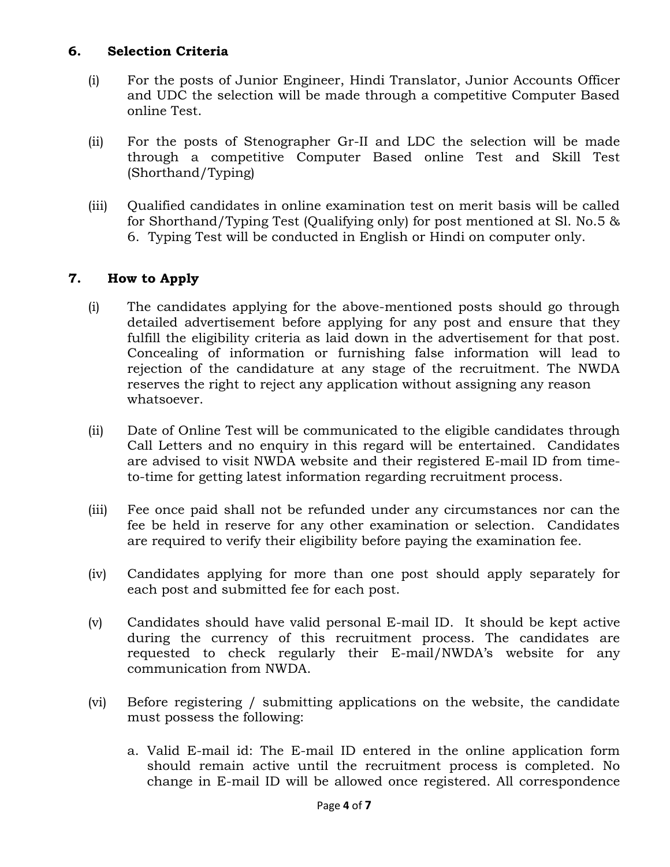## **6. Selection Criteria**

- (i) For the posts of Junior Engineer, Hindi Translator, Junior Accounts Officer and UDC the selection will be made through a competitive Computer Based online Test.
- (ii) For the posts of Stenographer Gr-II and LDC the selection will be made through a competitive Computer Based online Test and Skill Test (Shorthand/Typing)
- (iii) Qualified candidates in online examination test on merit basis will be called for Shorthand/Typing Test (Qualifying only) for post mentioned at Sl. No.5 & 6. Typing Test will be conducted in English or Hindi on computer only.

# **7. How to Apply**

- (i) The candidates applying for the above-mentioned posts should go through detailed advertisement before applying for any post and ensure that they fulfill the eligibility criteria as laid down in the advertisement for that post. Concealing of information or furnishing false information will lead to rejection of the candidature at any stage of the recruitment. The NWDA reserves the right to reject any application without assigning any reason whatsoever.
- (ii) Date of Online Test will be communicated to the eligible candidates through Call Letters and no enquiry in this regard will be entertained. Candidates are advised to visit NWDA website and their registered E-mail ID from timeto-time for getting latest information regarding recruitment process.
- (iii) Fee once paid shall not be refunded under any circumstances nor can the fee be held in reserve for any other examination or selection. Candidates are required to verify their eligibility before paying the examination fee.
- (iv) Candidates applying for more than one post should apply separately for each post and submitted fee for each post.
- (v) Candidates should have valid personal E-mail ID. It should be kept active during the currency of this recruitment process. The candidates are requested to check regularly their E-mail/NWDA's website for any communication from NWDA.
- (vi) Before registering / submitting applications on the website, the candidate must possess the following:
	- a. Valid E-mail id: The E-mail ID entered in the online application form should remain active until the recruitment process is completed. No change in E-mail ID will be allowed once registered. All correspondence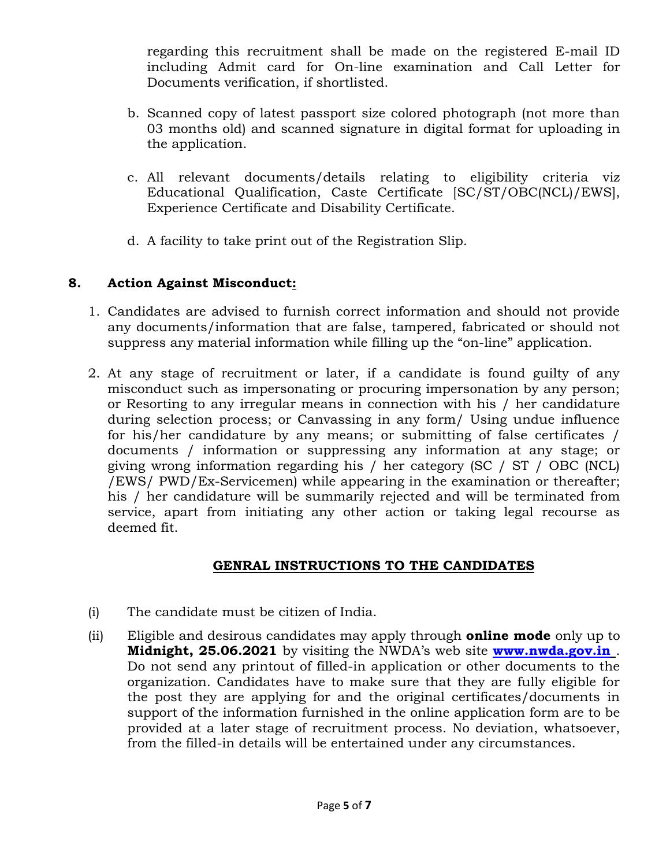regarding this recruitment shall be made on the registered E-mail ID including Admit card for On-line examination and Call Letter for Documents verification, if shortlisted.

- b. Scanned copy of latest passport size colored photograph (not more than 03 months old) and scanned signature in digital format for uploading in the application.
- c. All relevant documents/details relating to eligibility criteria viz Educational Qualification, Caste Certificate [SC/ST/OBC(NCL)/EWS], Experience Certificate and Disability Certificate.
- d. A facility to take print out of the Registration Slip.

## **8. Action Against Misconduct:**

- 1. Candidates are advised to furnish correct information and should not provide any documents/information that are false, tampered, fabricated or should not suppress any material information while filling up the "on-line" application.
- 2. At any stage of recruitment or later, if a candidate is found guilty of any misconduct such as impersonating or procuring impersonation by any person; or Resorting to any irregular means in connection with his / her candidature during selection process; or Canvassing in any form/ Using undue influence for his/her candidature by any means; or submitting of false certificates / documents / information or suppressing any information at any stage; or giving wrong information regarding his / her category (SC / ST / OBC (NCL) /EWS/ PWD/Ex-Servicemen) while appearing in the examination or thereafter; his / her candidature will be summarily rejected and will be terminated from service, apart from initiating any other action or taking legal recourse as deemed fit.

# **GENRAL INSTRUCTIONS TO THE CANDIDATES**

- (i) The candidate must be citizen of India.
- (ii) Eligible and desirous candidates may apply through **online mode** only up to **Midnight, 25.06.2021** by visiting the NWDA's web site **[www.nwda.gov.in](http://www.nwda.gov.in/)** . Do not send any printout of filled-in application or other documents to the organization. Candidates have to make sure that they are fully eligible for the post they are applying for and the original certificates/documents in support of the information furnished in the online application form are to be provided at a later stage of recruitment process. No deviation, whatsoever, from the filled-in details will be entertained under any circumstances.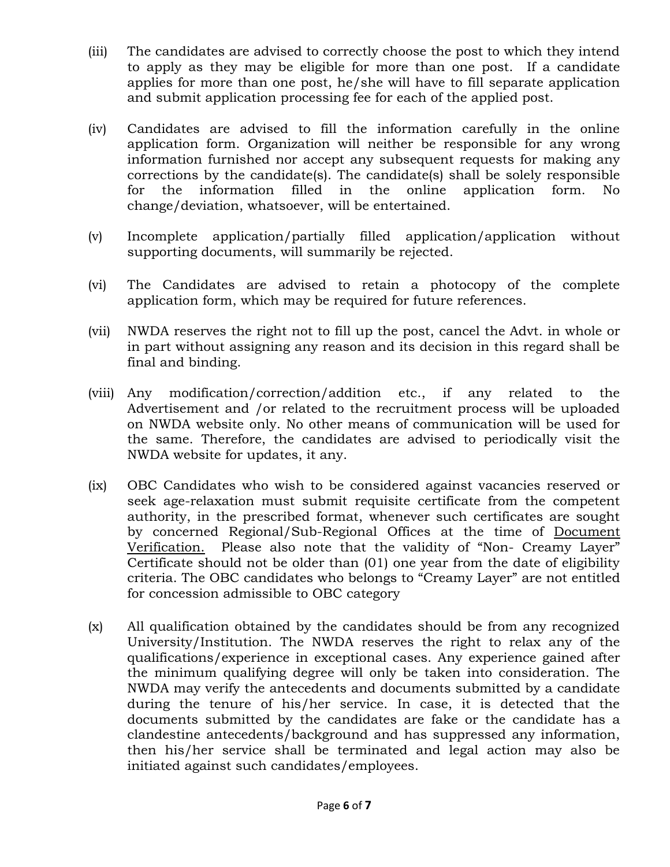- (iii) The candidates are advised to correctly choose the post to which they intend to apply as they may be eligible for more than one post. If a candidate applies for more than one post, he/she will have to fill separate application and submit application processing fee for each of the applied post.
- (iv) Candidates are advised to fill the information carefully in the online application form. Organization will neither be responsible for any wrong information furnished nor accept any subsequent requests for making any corrections by the candidate(s). The candidate(s) shall be solely responsible for the information filled in the online application form. No change/deviation, whatsoever, will be entertained.
- (v) Incomplete application/partially filled application/application without supporting documents, will summarily be rejected.
- (vi) The Candidates are advised to retain a photocopy of the complete application form, which may be required for future references.
- (vii) NWDA reserves the right not to fill up the post, cancel the Advt. in whole or in part without assigning any reason and its decision in this regard shall be final and binding.
- (viii) Any modification/correction/addition etc., if any related to the Advertisement and /or related to the recruitment process will be uploaded on NWDA website only. No other means of communication will be used for the same. Therefore, the candidates are advised to periodically visit the NWDA website for updates, it any.
- (ix) OBC Candidates who wish to be considered against vacancies reserved or seek age-relaxation must submit requisite certificate from the competent authority, in the prescribed format, whenever such certificates are sought by concerned Regional/Sub-Regional Offices at the time of Document Verification. Please also note that the validity of "Non- Creamy Layer" Certificate should not be older than (01) one year from the date of eligibility criteria. The OBC candidates who belongs to "Creamy Layer" are not entitled for concession admissible to OBC category
- (x) All qualification obtained by the candidates should be from any recognized University/Institution. The NWDA reserves the right to relax any of the qualifications/experience in exceptional cases. Any experience gained after the minimum qualifying degree will only be taken into consideration. The NWDA may verify the antecedents and documents submitted by a candidate during the tenure of his/her service. In case, it is detected that the documents submitted by the candidates are fake or the candidate has a clandestine antecedents/background and has suppressed any information, then his/her service shall be terminated and legal action may also be initiated against such candidates/employees.